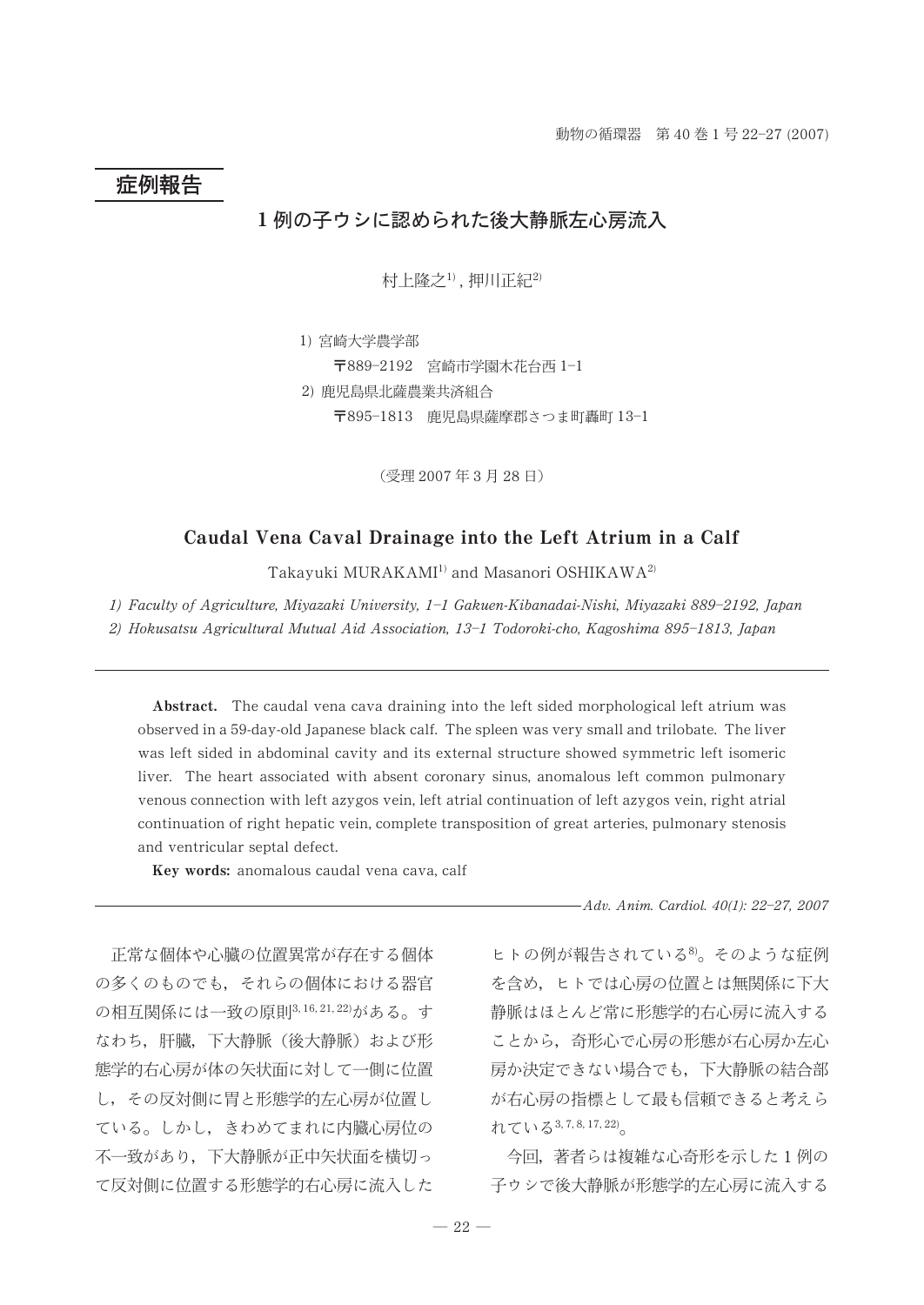# 症例報告

## 1例の子ウシに認められた後大静脈左心房流入

村上隆之<sup>1)</sup>,押川正紀<sup>2)</sup>

1) 宮崎大学農学部 〒889-2192 宮崎市学園木花台西 1-1 2) 鹿児島県北薩農業共済組合 〒895-1813 鹿児島県薩摩郡さつま町轟町 13-1

(受理 2007年3月28日)

### Caudal Vena Caval Drainage into the Left Atrium in a Calf

Takayuki MURAKAMI<sup>1)</sup> and Masanori OSHIKAWA<sup>2)</sup>

1) Faculty of Agriculture, Miyazaki University, 1-1 Gakuen-Kibanadai-Nishi, Miyazaki 889-2192, Japan 2) Hokusatsu Agricultural Mutual Aid Association, 13-1 Todoroki-cho, Kagoshima 895-1813, Japan

Abstract. The caudal vena cava draining into the left sided morphological left atrium was observed in a 59-day-old Japanese black calf. The spleen was very small and trilobate. The liver was left sided in abdominal cavity and its external structure showed symmetric left isomeric liver. The heart associated with absent coronary sinus, anomalous left common pulmonary venous connection with left azygos vein, left atrial continuation of left azygos vein, right atrial continuation of right hepatic vein, complete transposition of great arteries, pulmonary stenosis and ventricular septal defect.

Key words: anomalous caudal vena cava, calf

正常な個体や心臓の位置異常が存在する個体 の多くのものでも、それらの個体における器官 の相互関係には一致の原則3,16,21,22)がある。す なわち、肝臓、下大静脈(後大静脈)および形 態学的右心房が体の矢状面に対して一側に位置 し、その反対側に胃と形態学的左心房が位置し ている。しかし、きわめてまれに内臓心房位の 不一致があり、下大静脈が正中矢状面を構切っ て反対側に位置する形態学的右心房に流入した -Adv. Anim. Cardiol. 40(1): 22-27, 2007

ヒトの例が報告されている<sup>8</sup>。そのような症例 を含め、ヒトでは心房の位置とは無関係に下大 静脈はほとんど常に形態学的右心房に流入する ことから、奇形心で心房の形態が右心房か左心 房か決定できない場合でも、下大静脈の結合部 が右心房の指標として最も信頼できると考えら れている  $3, 7, 8, 17, 22)$ 

今回、著者らは複雑な心奇形を示した1例の 子ゥシで後大静脈が形態学的左心房に流入する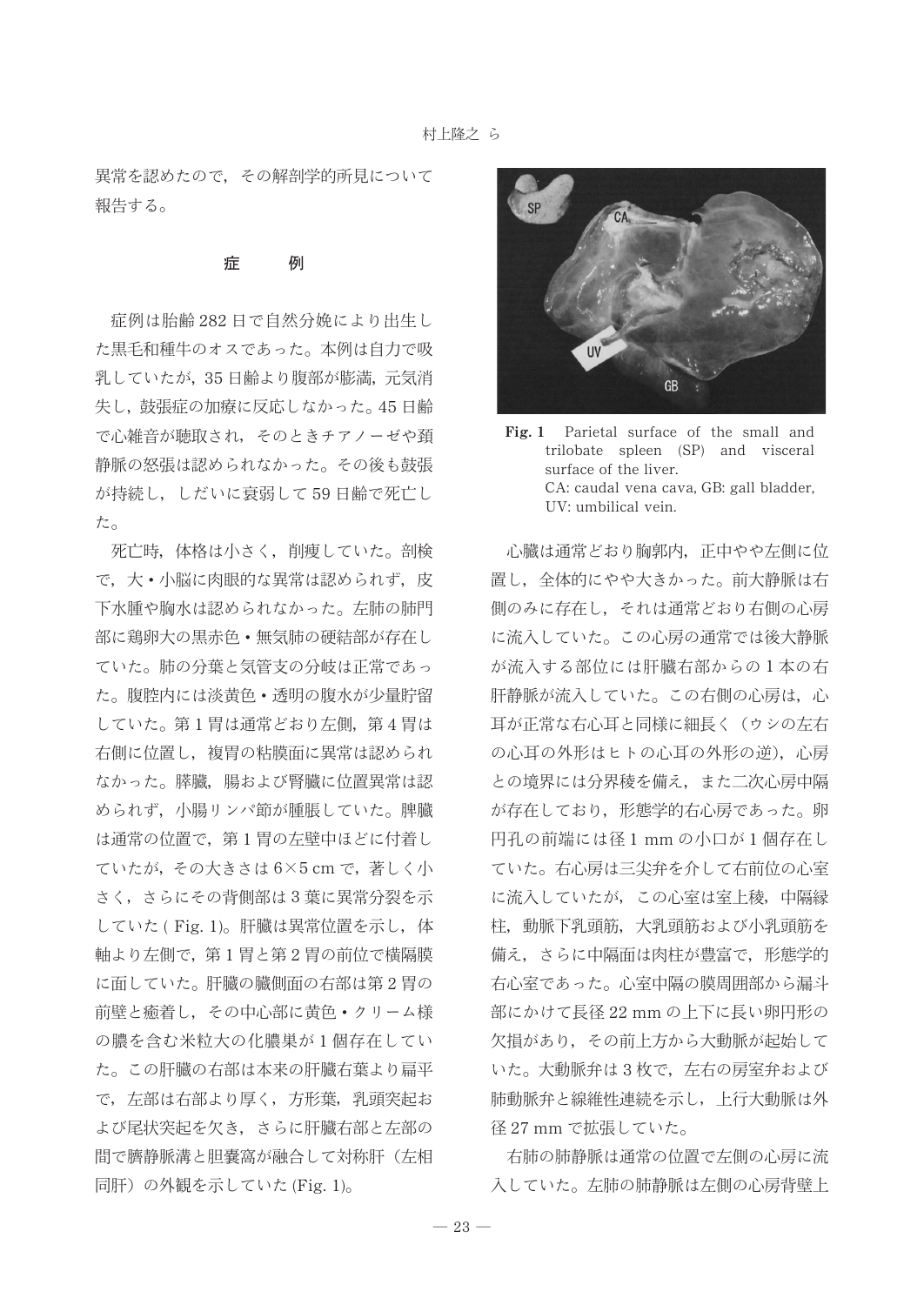異常を認めたので、その解剖学的所見について 報告する。

#### 症 例

症例は胎齢282日で自然分娩により出生し た黒毛和種牛のオスであった。本例は自力で吸 乳していたが、35日齢より腹部が膨満、元気消 失し、鼓張症の加療に反応しなかった。45日齢 で心雑音が聴取され、そのときチアノーゼや頚 静脈の怒張は認められなかった。その後も鼓張 が持続し、しだいに衰弱して59日齢で死亡し た。

死亡時、体格は小さく、削痩していた。剖検 で、大・小脳に肉眼的な異常は認められず、皮 下水腫や胸水は認められなかった。左肺の肺門 部に鶏卵大の黒赤色·無気肺の硬結部が存在し ていた。肺の分葉と気管支の分岐は正常であっ た。腹腔内には淡黄色·透明の腹水が少量貯留 していた。第1胃は通常どおり左側、第4胃は 右側に位置し、複胃の粘膜面に異常は認められ なかった。膵臓、腸および腎臓に位置異常は認 められず、小腸リンパ節が腫脹していた。脾臓 は通常の位置で、第1胃の左壁中ほどに付着し ていたが, その大きさは6×5 cm で, 著しく小 さく, さらにその背側部は3葉に異常分裂を示 していた(Fig. 1)。肝臓は異常位置を示し、体 軸より左側で、第1胃と第2胃の前位で横隔膜 に面していた。肝臓の臓側面の右部は第2胃の 前壁と癒着し,その中心部に黄色・クリーム様 の膿を含む米粒大の化膿巣が1個存在してい た。この肝臓の右部は本来の肝臓右葉より扁平 で、左部は右部より厚く、方形葉、乳頭突起お よび尾状突起を欠き、さらに肝臓右部と左部の 間で臍静脈溝と胆嚢窩が融合して対称肝(左相 同肝)の外観を示していた (Fig. 1)。



 $Fig. 1$ Parietal surface of the small and trilobate spleen (SP) and visceral surface of the liver. CA: caudal vena cava, GB: gall bladder, UV: umbilical vein.

心臓は通常どおり胸郭内、正中やや左側に位 置し、全体的にやや大きかった。前大静脈は右 側のみに存在し、それは通常どおり右側の心房 に流入していた。この心房の通常では後大静脈 が流入する部位には肝臓右部からの1本の右 肝静脈が流入していた。この右側の心房は、心 耳が正常な右心耳と同様に細長く(ウシの左右 の心耳の外形はヒトの心耳の外形の逆), 心房 との境界には分界稜を備え、また二次心房中隔 が存在しており、形態学的右心房であった。卵 円孔の前端には径1mmの小口が1個存在し ていた。右心房は三尖弁を介して右前位の心室 に流入していたが、この心室は室上稜、中隔縁 柱、動脈下乳頭筋、大乳頭筋および小乳頭筋を 備え、さらに中隔面は肉柱が豊富で、形態学的 右心室であった。心室中隔の膜周囲部から漏斗 部にかけて長径 22 mm の上下に長い卵円形の 欠損があり、その前上方から大動脈が起始して いた。大動脈弁は3枚で、左右の房室弁および 肺動脈弁と線維性連続を示し、上行大動脈は外 径 27 mm で拡張していた。

右肺の肺静脈は通常の位置で左側の心房に流 入していた。左肺の肺静脈は左側の心房背壁上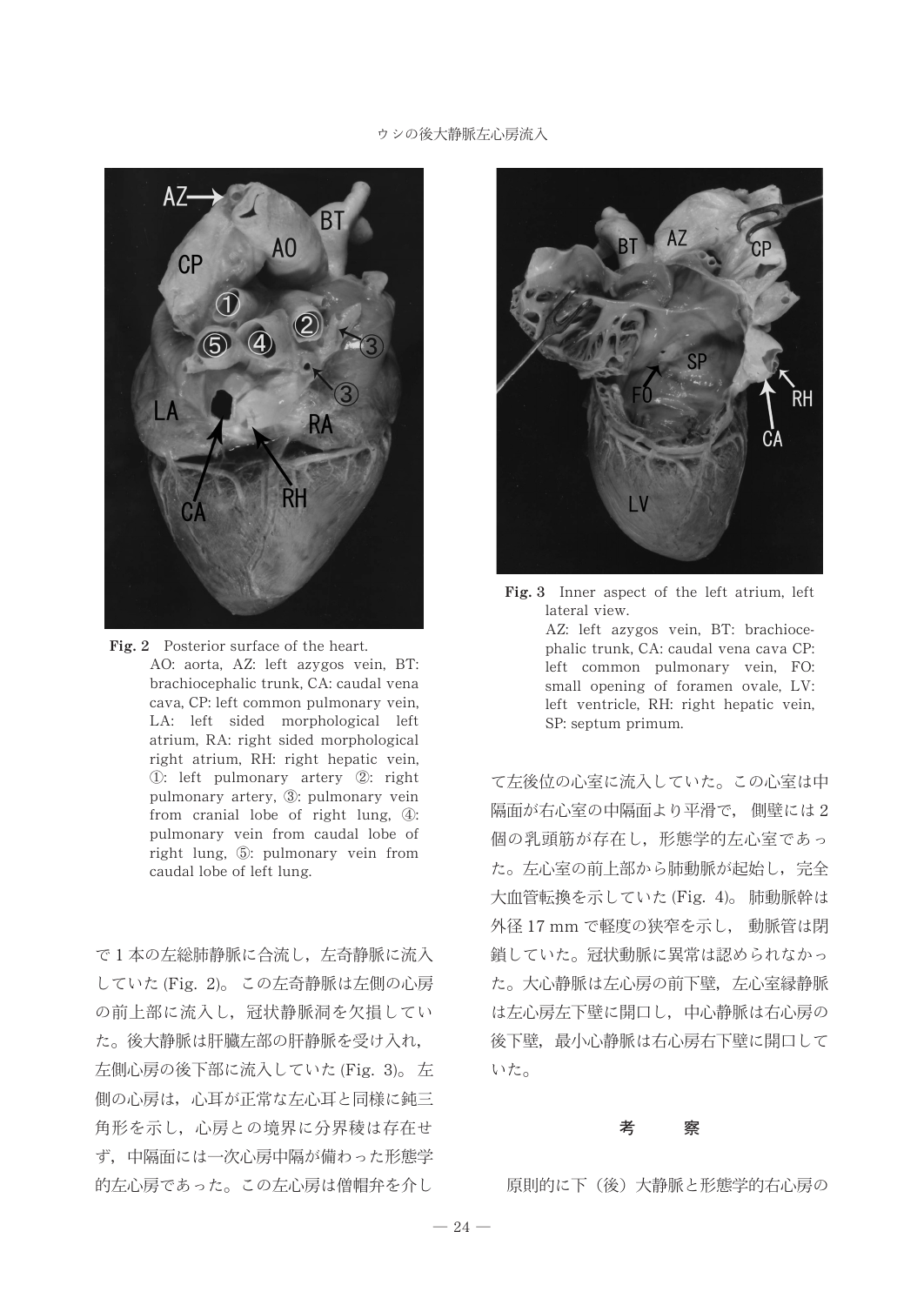### ウシの後大静脈左心房流入



Fig. 2 Posterior surface of the heart. AO: aorta, AZ: left azygos vein, BT: brachiocephalic trunk, CA: caudal vena cava, CP: left common pulmonary vein, LA: left sided morphological left atrium, RA: right sided morphological right atrium, RH: right hepatic vein, 1): left pulmonary artery 2): right pulmonary artery, 3: pulmonary vein from cranial lobe of right lung,  $\circled{4}$ : pulmonary vein from caudal lobe of right lung,  $\circled{)}$ : pulmonary vein from caudal lobe of left lung.

で1本の左総肺静脈に合流し、左奇静脈に流入 していた(Fig. 2)。この左奇静脈は左側の心房 の前上部に流入し、冠状静脈洞を欠損してい た。後大静脈は肝臓左部の肝静脈を受け入れ, 左側心房の後下部に流入していた (Fig. 3)。左 側の心房は、心耳が正常な左心耳と同様に鈍三 角形を示し、心房との境界に分界稜は存在せ ず、中隔面には一次心房中隔が備わった形態学 的左心房であった。この左心房は僧帽弁を介し 原則的に下(後)大静脈と形態学的右心房の



Fig. 3 Inner aspect of the left atrium, left lateral view. AZ: left azygos vein, BT: brachiocephalic trunk, CA: caudal vena cava CP: left common pulmonary vein, FO: small opening of foramen ovale, LV: left ventricle, RH: right hepatic vein, SP: septum primum.

て左後位の心室に流入していた。この心室は中 隔面が右心室の中隔面より平滑で、側壁には2 個の乳頭筋が存在し、形態学的左心室であっ た。左心室の前上部から肺動脈が起始し、完全 大血管転換を示していた (Fig. 4)。 肺動脈幹は 外径 17 mm で軽度の狭窄を示し、 動脈管は閉 鎖していた。冠状動脈に異常は認められなかっ た。大心静脈は左心房の前下壁、左心室縁静脈 は左心房左下壁に開口し、中心静脈は右心房の 後下壁、最小心静脈は右心房右下壁に開口して いた。

### 考 察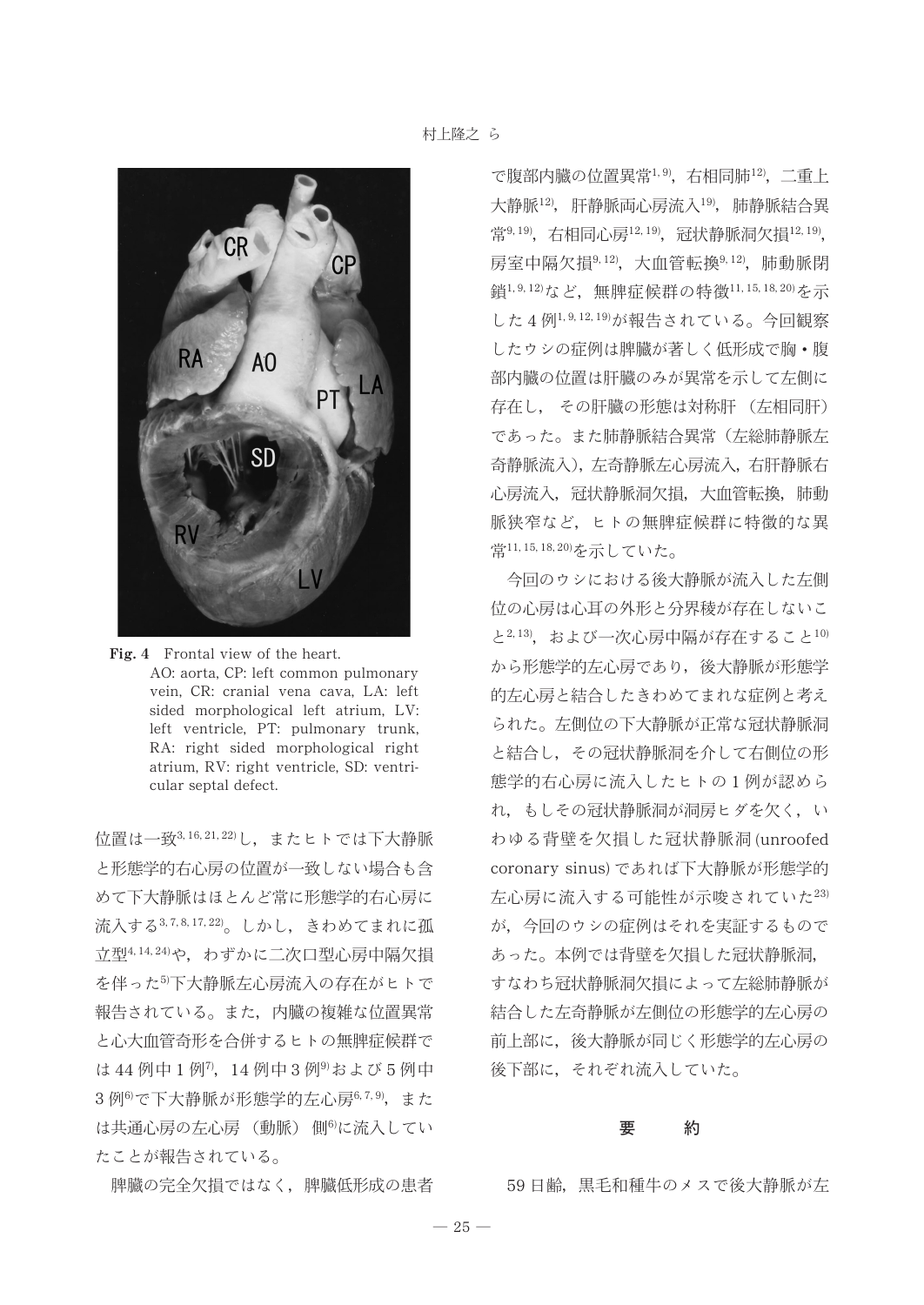

Fig. 4 Frontal view of the heart. AO: aorta, CP: left common pulmonary vein, CR: cranial vena cava, LA: left sided morphological left atrium, LV: left ventricle, PT: pulmonary trunk, RA: right sided morphological right atrium, RV: right ventricle, SD: ventricular septal defect.

位置は一致3,16,21,22)し、またヒトでは下大静脈 と形態学的右心房の位置が一致しない場合も含 めて下大静脈はほとんど常に形態学的右心房に 流入する3,7,8,17,22)。しかし、きわめてまれに孤 立型4,14,24)や、わずかに二次口型心房中隔欠損 を伴った<sup>5</sup>下大静脈左心房流入の存在がヒトで 報告されている。また、内臓の複雑な位置異常 と心大血管奇形を合併するヒトの無脾症候群で は44例中1例7, 14例中3例9および5例中 3例6)で下大静脈が形態学的左心房6,7,9). また は共通心房の左心房 (動脈) 側6)に流入してい たことが報告されている。

脾臓の完全欠相ではなく、脾臓低形成の患者

で腹部内臓の位置異常1,9), 右相同肺12), 二重上 大静脈12), 肝静脈両心房流入19), 肺静脈結合異 常9,19), 右相同心房12,19), 冠状静脈洞欠相12,19), 房室中隔欠損9,12), 大血管転換9,12), 肺動脈閉 鎖1,9,12)など、無脾症候群の特徴11,15,18,20)を示 した4例1,9,12,19)が報告されている。今回観察 したウシの症例は脾臓が著しく低形成で胸・腹 部内臓の位置は肝臓のみが異常を示して左側に 存在し、 その肝臓の形態は対称肝 (左相同肝) であった。また肺静脈結合異常(左総肺静脈左 奇静脈流入), 左奇静脈左心房流入, 右肝静脈右 心房流入,冠状静脈洞欠損,大血管転換,肺動 脈狭窄など、ヒトの無脾症候群に特徴的な異 常11,15,18,20)を示していた。

今回のウシにおける後大静脈が流入した左側 位の心房は心耳の外形と分界稜が存在しないこ と2,13), および一次心房中隔が存在すること10) から形態学的左心房であり、後大静脈が形態学 的左心房と結合したきわめてまれな症例と考え られた。左側位の下大静脈が正常な冠状静脈洞 と結合し、その冠状静脈洞を介して右側位の形 態学的右心房に流入したヒトの1例が認めら れ、もしその冠状静脈洞が洞房ヒダを欠く、い わゆる背壁を欠相した冠状静脈洞(unroofed coronary sinus) であれば下大静脈が形態学的 左心房に流入する可能性が示唆されていた23) が、今回のウシの症例はそれを実証するもので あった。本例では背壁を欠損した冠状静脈洞, すなわち冠状静脈洞欠指によって左総肺静脈が 結合した左奇静脈が左側位の形態学的左心房の 前上部に、後大静脈が同じく形態学的左心房の 後下部に、それぞれ流入していた。

#### 約 要

59日齢, 黒毛和種牛のメスで後大静脈が左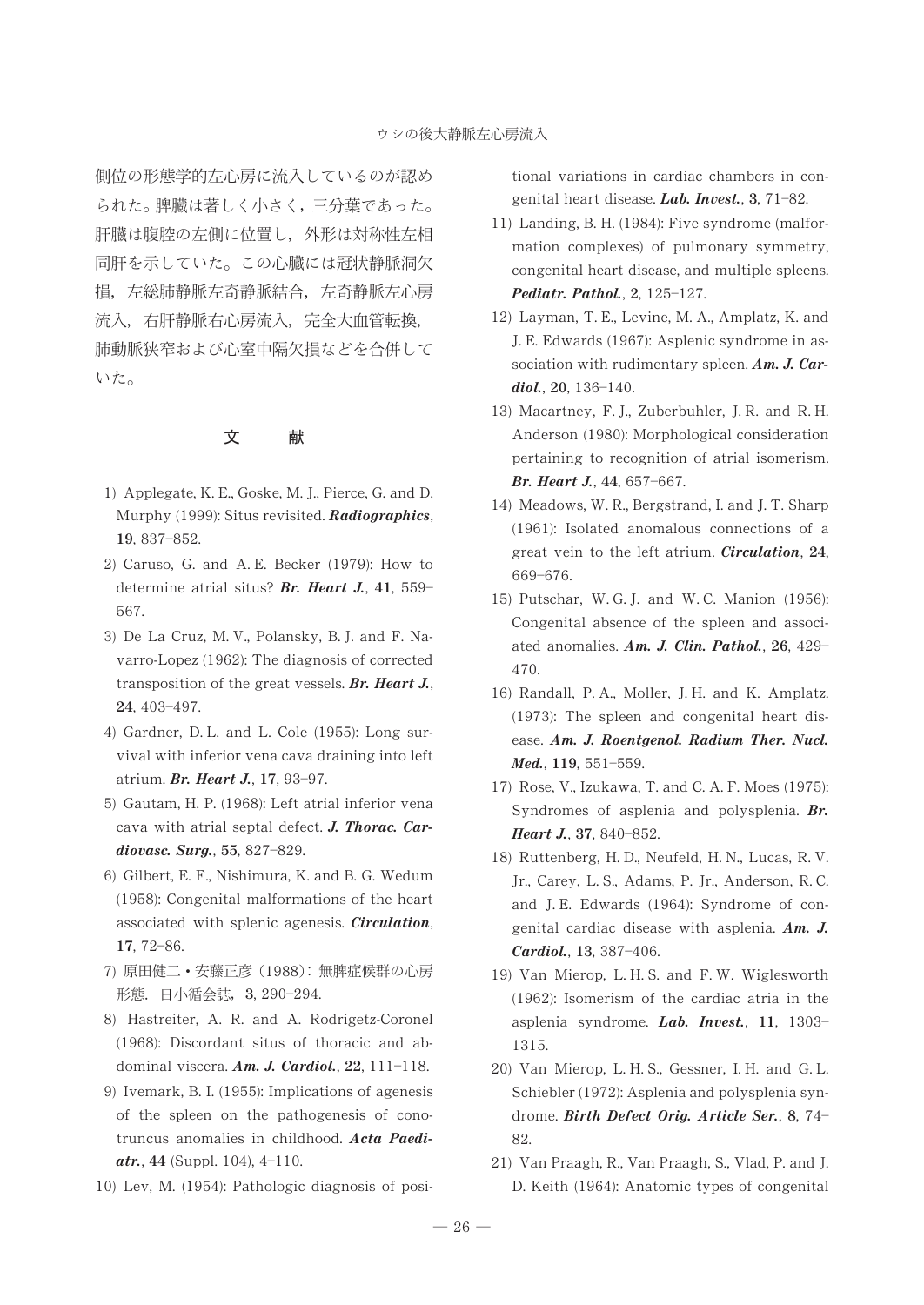側位の形態学的左心房に流入しているのが認め られた。脾臓は著しく小さく,三分葉であった。 肝臓は腹腔の左側に位置し,外形は対称性左相 同肝を示していた。この心臓には冠状静脈洞欠 損,左総肺静脈左奇静脈結合,左奇静脈左心房 流入, 右肝静脈右心房流入, 完全大血管転換, 肺動脈狭窄および心室中隔欠損などを合併して いた。

## 文献

- 1) Applegate, K. E., Goske, M. J., Pierce, G. and D. Murphy (1999): Situs revisited. Radiographics, 19, 837-852.
- 2) Caruso, G. and A. E. Becker (1979): How to determine atrial situs? Br. Heart J., 41, 559-567.
- 3) De La Cruz, M. V., Polansky, B. J. and F. Navarro-Lopez (1962): The diagnosis of corrected transposition of the great vessels. Br. Heart J., 24, 403-497.
- 4) Gardner, D. L. and L. Cole (1955): Long survival with inferior vena cava draining into left atrium. Br. Heart J., 17, 93-97.
- 5) Gautam, H. P. (1968): Left atrial inferior vena cava with atrial septal defect. J. Thorac. Cardiovasc. Surg., 55, 827-829.
- 6) Gilbert, E. F., Nishimura, K. and B. G. Wedum (1958): Congenital malformations of the heart associated with splenic agenesis. Circulation, 17, 72-86.
- 7) 原田健二・安藤正彦 (1988): 無脾症候群の心房 形態. 日小循会誌, 3, 290-294.
- 8) Hastreiter, A. R. and A. Rodrigetz-Coronel (1968): Discordant situs of thoracic and abdominal viscera.  $Am. J. \, Cardiol., 22, 111-118.$
- 9) Ivemark, B. I. (1955): Implications of agenesis of the spleen on the pathogenesis of conotruncus anomalies in childhood. Acta Paedi $atr.$ , 44 (Suppl. 104), 4-110.
- 10) Lev, M. (1954): Pathologic diagnosis of posi-

tional variations in cardiac chambers in congenital heart disease. Lab. Invest., 3,  $71-82$ .

- 11) Landing, B. H. (1984): Five syndrome (malformation complexes) of pulmonary symmetry, congenital heart disease, and multiple spleens. Pediatr. Pathol.,  $2, 125-127$ .
- 12) Layman, T. E., Levine, M. A., Amplatz, K. and J. E. Edwards (1967): Asplenic syndrome in association with rudimentary spleen. Am. J. Car $diol., 20, 136-140.$
- 13) Macartney, F. J., Zuberbuhler, J. R. and R. H. Anderson (1980): Morphological consideration pertaining to recognition of atrial isomerism. Br. Heart J., 44, 657-667.
- 14) Meadows, W. R., Bergstrand, I. and J. T. Sharp (1961): Isolated anomalous connections of a great vein to the left atrium. *Circulation*, 24, 669-676.
- 15) Putschar, W. G. J. and W. C. Manion (1956): Congenital absence of the spleen and associated anomalies.  $Am. J. Clin. Pathol., 26, 429-$ 470.
- 16) Randall, P. A., Moller, J. H. and K. Amplatz. (1973): The spleen and congenital heart disease. Am. J. Roentgenol. Radium Ther. Nucl. Med., 119, 551-559.
- 17) Rose, V., Izukawa, T. and C. A. F. Moes (1975): Syndromes of asplenia and polysplenia. Br. Heart J., 37, 840-852.
- 18) Ruttenberg, H. D., Neufeld, H. N., Lucas, R. V. Jr., Carey, L. S., Adams, P. Jr., Anderson, R. C. and J. E. Edwards (1964): Syndrome of congenital cardiac disease with asplenia. Am. J. Cardiol., 13, 387-406.
- 19) Van Mierop, L. H. S. and F. W. Wiglesworth (1962): Isomerism of the cardiac atria in the asplenia syndrome. Lab. Invest., 11, 1303-1315.
- 20) Van Mierop, L. H. S., Gessner, I. H. and G. L. Schiebler (1972): Asplenia and polysplenia syndrome. Birth Defect Orig. Article Ser., 8, 74-82.
- 21) Van Praagh, R., Van Praagh, S., Vlad, P. and J. D. Keith (1964): Anatomic types of congenital